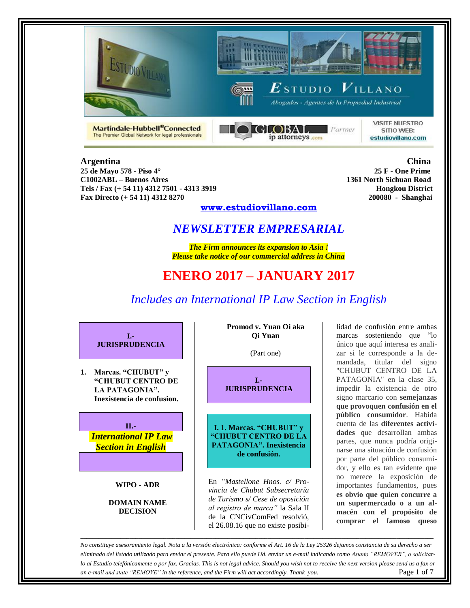





Martindale-Hubbell®Connected The Premier Global Network for legal professionals



**VISITE NUESTRO** SITIO WEB: estudiovillano.com

**25 de Mayo 578 - Piso 4° 25 F - One Prime C1002ABL – Buenos Aires Tels / Fax (+ 54 11) 4312 7501 - 4313 3919 Hongkou District Fax Directo (+ 54 11) 4312 8270 200080 - Shanghai**

**Argentina China**

## **www.estudiovillano.com**

# *NEWSLETTER EMPRESARIAL*

*The Firm announces its expansion to Asia ! Please take notice of our commercial address in China*

# **ENERO 2017 – JANUARY 2017**

# *Includes an International IP Law Section in English*



**1. Marcas. "CHUBUT" y "CHUBUT CENTRO DE LA PATAGONIA". Inexistencia de confusion.**



**WIPO - ADR**

**DOMAIN NAME DECISION**

**Promod v. Yuan Oi aka Qi Yuan**

(Part one)

**I.- JURISPRUDENCIA**

**I. 1. Marcas. "CHUBUT" y "CHUBUT CENTRO DE LA PATAGONIA". Inexistencia de confusión.**

En *"Mastellone Hnos. c/ Provincia de Chubut Subsecretaría de Turismo s/ Cese de oposición al registro de marca"* la Sala II de la CNCivComFed resolvió, el 26.08.16 que no existe posibilidad de confusión entre ambas marcas sosteniendo que "lo único que aquí interesa es analizar si le corresponde a la demandada, titular del signo "CHUBUT CENTRO DE LA PATAGONIA" en la clase 35, impedir la existencia de otro signo marcario con **semejanzas que provoquen confusión en el público consumidor**. Habida cuenta de las **diferentes actividades** que desarrollan ambas partes, que nunca podría originarse una situación de confusión por parte del público consumidor, y ello es tan evidente que no merece la exposición de importantes fundamentos, pues **es obvio que quien concurre a un supermercado o a un almacén con el propósito de comprar el famoso queso** 

*No constituye asesoramiento legal. Nota a la versión electrónica: conforme el Art. 16 de la Ley 25326 dejamos constancia de su derecho a ser eliminado del listado utilizado para enviar el presente. Para ello puede Ud. enviar un e-mail indicando como Asunto "REMOVER", o solicitarlo al Estudio telefónicamente o por fax. Gracias. This is not legal advice. Should you wish not to receive the next version please send us a fax or an e-mail and state "REMOVE" in the reference, and the Firm will act accordingly. Thank you.* Page 1 of 7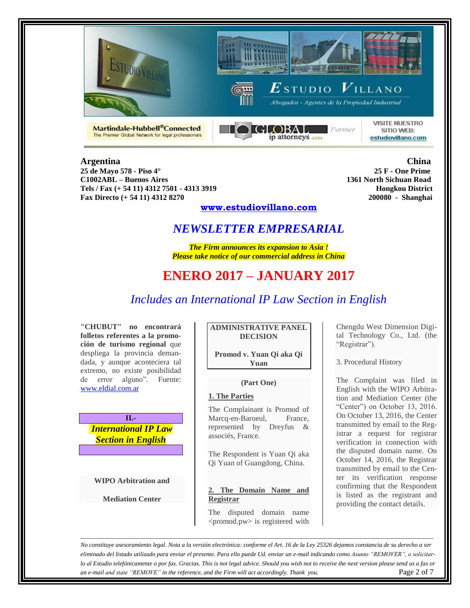



**GLOBAL** Partner

ip attorneys com



 $\boldsymbol{E}$ studio  $\boldsymbol{V}$ illano

Abogados - Agentes de la Propiedad Industrial

**VISITE NUESTRO** SITIO WEB: estudiovillano.com

**25 de Mayo 578 - Piso 4° 25 F - One Prime C1002ABL – Buenos Aires Tels / Fax (+ 54 11) 4312 7501 - 4313 3919 Hongkou District Fax Directo (+ 54 11) 4312 8270 200080 - Shanghai**

Martindale-Hubbell®Connected

The Premier Global Network for legal professionals

**Argentina China**

## **www.estudiovillano.com**

# *NEWSLETTER EMPRESARIAL*

*The Firm announces its expansion to Asia ! Please take notice of our commercial address in China*

# **ENERO 2017 – JANUARY 2017**

# *Includes an International IP Law Section in English*

**"CHUBUT" no encontrará folletos referentes a la promoción de turismo regional** que despliega la provincia demandada, y aunque aconteciera tal extremo, no existe posibilidad de error alguno". Fuente: [www.eldial.com.ar](http://www.eldial.com.ar/)



**WIPO Arbitration and** 

**Mediation Center**

### **ADMINISTRATIVE PANEL DECISION**

**Promod v. Yuan Qi aka Qi Yuan**

### **(Part One)**

### **1. The Parties**

The Complainant is Promod of Marcq-en-Baroeul, France, represented by Dreyfus & associés, France.

The Respondent is Yuan Qi aka Qi Yuan of Guangdong, China.

### **2. The Domain Name and Registrar**

The disputed domain name <promod.pw> is registered with Chengdu West Dimension Digital Technology Co., Ltd. (the "Registrar").

3. Procedural History

The Complaint was filed in English with the WIPO Arbitration and Mediation Center (the "Center") on October 13, 2016. On October 13, 2016, the Center transmitted by email to the Registrar a request for registrar verification in connection with the disputed domain name. On October 14, 2016, the Registrar transmitted by email to the Center its verification response confirming that the Respondent is listed as the registrant and providing the contact details.

*No constituye asesoramiento legal. Nota a la versión electrónica: conforme el Art. 16 de la Ley 25326 dejamos constancia de su derecho a ser eliminado del listado utilizado para enviar el presente. Para ello puede Ud. enviar un e-mail indicando como Asunto "REMOVER", o solicitarlo al Estudio telefónicamente o por fax. Gracias. This is not legal advice. Should you wish not to receive the next version please send us a fax or an e-mail and state "REMOVE" in the reference, and the Firm will act accordingly. Thank you.* Page 2 of 7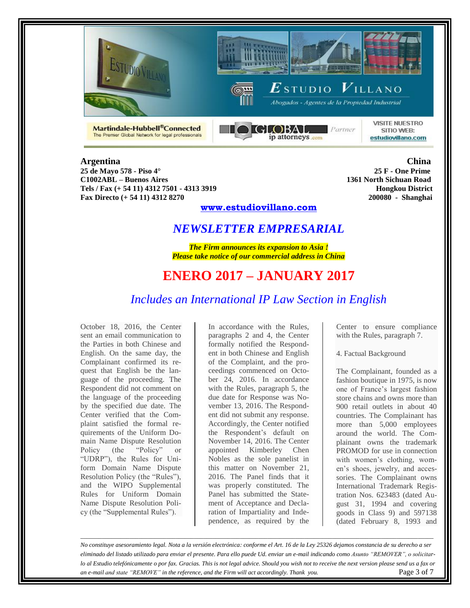





Martindale-Hubbell®Connected The Premier Global Network for legal professionals



**VISITE NUESTRO** SITIO WEB: estudiovillano.com

**25 de Mayo 578 - Piso 4° 25 F - One Prime C1002ABL – Buenos Aires 1361 North Sichuan Road Tels / Fax (+ 54 11) 4312 7501 - 4313 3919 Hongkou District Fax Directo (+ 54 11) 4312 8270 200080 - Shanghai**

**Argentina China**

## **www.estudiovillano.com**

## *NEWSLETTER EMPRESARIAL*

*The Firm announces its expansion to Asia ! Please take notice of our commercial address in China*

# **ENERO 2017 – JANUARY 2017**

## *Includes an International IP Law Section in English*

October 18, 2016, the Center sent an email communication to the Parties in both Chinese and English. On the same day, the Complainant confirmed its request that English be the language of the proceeding. The Respondent did not comment on the language of the proceeding by the specified due date. The Center verified that the Complaint satisfied the formal requirements of the Uniform Domain Name Dispute Resolution Policy (the "Policy" or "UDRP"), the Rules for Uniform Domain Name Dispute Resolution Policy (the "Rules"), and the WIPO Supplemental Rules for Uniform Domain Name Dispute Resolution Policy (the "Supplemental Rules").

In accordance with the Rules, paragraphs 2 and 4, the Center formally notified the Respondent in both Chinese and English of the Complaint, and the proceedings commenced on October 24, 2016. In accordance with the Rules, paragraph 5, the due date for Response was November 13, 2016. The Respondent did not submit any response. Accordingly, the Center notified the Respondent's default on November 14, 2016. The Center appointed Kimberley Chen Nobles as the sole panelist in this matter on November 21, 2016. The Panel finds that it was properly constituted. The Panel has submitted the Statement of Acceptance and Declaration of Impartiality and Independence, as required by the

Center to ensure compliance with the Rules, paragraph 7.

4. Factual Background

The Complainant, founded as a fashion boutique in 1975, is now one of France's largest fashion store chains and owns more than 900 retail outlets in about 40 countries. The Complainant has more than 5,000 employees around the world. The Complainant owns the trademark PROMOD for use in connection with women's clothing, women's shoes, jewelry, and accessories. The Complainant owns International Trademark Registration Nos. 623483 (dated August 31, 1994 and covering goods in Class 9) and 597138 (dated February 8, 1993 and

*No constituye asesoramiento legal. Nota a la versión electrónica: conforme el Art. 16 de la Ley 25326 dejamos constancia de su derecho a ser eliminado del listado utilizado para enviar el presente. Para ello puede Ud. enviar un e-mail indicando como Asunto "REMOVER", o solicitarlo al Estudio telefónicamente o por fax. Gracias. This is not legal advice. Should you wish not to receive the next version please send us a fax or an e-mail and state "REMOVE" in the reference, and the Firm will act accordingly. Thank you.* Page 3 of 7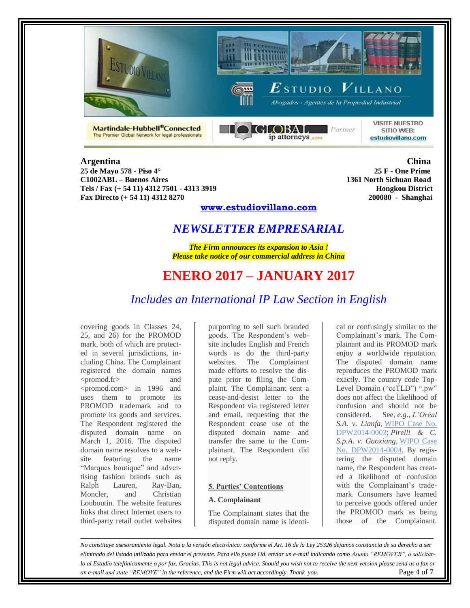





Martindale-Hubbell®Connected The Premier Global Network for legal professionals



**VISITE NUESTRO** SITIO WEB: estudiovillano.com

**25 de Mayo 578 - Piso 4° 25 F - One Prime C1002ABL – Buenos Aires 1361 North Sichuan Road Tels / Fax (+ 54 11) 4312 7501 - 4313 3919 Hongkou District Fax Directo (+ 54 11) 4312 8270 200080 - Shanghai**

**Argentina China**

## **www.estudiovillano.com**

# *NEWSLETTER EMPRESARIAL*

*The Firm announces its expansion to Asia ! Please take notice of our commercial address in China*

# **ENERO 2017 – JANUARY 2017**

# *Includes an International IP Law Section in English*

covering goods in Classes 24, 25, and 26) for the PROMOD mark, both of which are protected in several jurisdictions, including China. The Complainant registered the domain names <promod.fr> and <promod.com> in 1996 and uses them to promote its PROMOD trademark and to promote its goods and services. The Respondent registered the disputed domain name on March 1, 2016. The disputed domain name resolves to a website featuring the name "Marques boutique" and advertising fashion brands such as Ralph Lauren, Ray-Ban, Moncler, and Christian Louboutin. The website features links that direct Internet users to third-party retail outlet websites

purporting to sell such branded goods. The Respondent's website includes English and French words as do the third-party websites. The Complainant made efforts to resolve the dispute prior to filing the Complaint. The Complainant sent a cease-and-desist letter to the Respondent via registered letter and email, requesting that the Respondent cease use of the disputed domain name and transfer the same to the Complainant. The Respondent did not reply.

### **5. Parties' Contentions**

### **A. Complainant**

The Complainant states that the disputed domain name is identical or confusingly similar to the Complainant's mark. The Complainant and its PROMOD mark enjoy a worldwide reputation. The disputed domain name reproduces the PROMOD mark exactly. The country code Top-Level Domain ("ccTLD") ".pw" does not affect the likelihood of confusion and should not be considered. See, *e.g*., *L'Oréal S.A. v. Lianfa*, [WIPO](http://www.wipo.int/amc/en/domains/search/text.jsp?case=DPW2014-0003) Case No. [DPW2014-0003;](http://www.wipo.int/amc/en/domains/search/text.jsp?case=DPW2014-0003) *Pirelli & C. S.p.A. v. Gaoxiang*, [WIPO](http://www.wipo.int/amc/en/domains/search/text.jsp?case=DPW2014-0004) Case No. [DPW2014-0004.](http://www.wipo.int/amc/en/domains/search/text.jsp?case=DPW2014-0004) By registering the disputed domain name, the Respondent has created a likelihood of confusion with the Complainant's trademark. Consumers have learned to perceive goods offered under the PROMOD mark as being those of the Complainant.

*No constituye asesoramiento legal. Nota a la versión electrónica: conforme el Art. 16 de la Ley 25326 dejamos constancia de su derecho a ser eliminado del listado utilizado para enviar el presente. Para ello puede Ud. enviar un e-mail indicando como Asunto "REMOVER", o solicitarlo al Estudio telefónicamente o por fax. Gracias. This is not legal advice. Should you wish not to receive the next version please send us a fax or an e-mail and state "REMOVE" in the reference, and the Firm will act accordingly. Thank you.* Page 4 of 7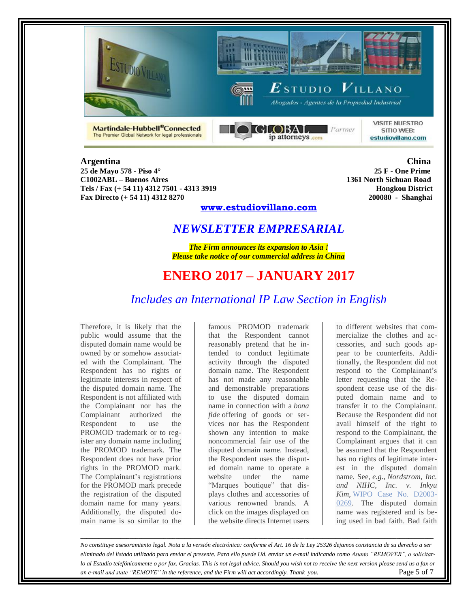





Martindale-Hubbell®Connected The Premier Global Network for legal professionals



**VISITE NUESTRO** SITIO WEB: estudiovillano.com

### **Argentina China 25 de Mayo 578 - Piso 4° 25 F - One Prime C1002ABL – Buenos Aires Tels / Fax (+ 54 11) 4312 7501 - 4313 3919 Hongkou District**

**Fax Directo (+ 54 11) 4312 8270 200080 - Shanghai**

## **www.estudiovillano.com**

# *NEWSLETTER EMPRESARIAL*

*The Firm announces its expansion to Asia ! Please take notice of our commercial address in China*

# **ENERO 2017 – JANUARY 2017**

# *Includes an International IP Law Section in English*

Therefore, it is likely that the public would assume that the disputed domain name would be owned by or somehow associated with the Complainant. The Respondent has no rights or legitimate interests in respect of the disputed domain name. The Respondent is not affiliated with the Complainant nor has the Complainant authorized the Respondent to use the PROMOD trademark or to register any domain name including the PROMOD trademark. The Respondent does not have prior rights in the PROMOD mark. The Complainant's registrations for the PROMOD mark precede the registration of the disputed domain name for many years. Additionally, the disputed domain name is so similar to the

famous PROMOD trademark that the Respondent cannot reasonably pretend that he intended to conduct legitimate activity through the disputed domain name. The Respondent has not made any reasonable and demonstrable preparations to use the disputed domain name in connection with a *bona fide* offering of goods or services nor has the Respondent shown any intention to make noncommercial fair use of the disputed domain name. Instead, the Respondent uses the disputed domain name to operate a website under the name "Marques boutique" that displays clothes and accessories of various renowned brands. A click on the images displayed on the website directs Internet users

to different websites that commercialize the clothes and accessories, and such goods appear to be counterfeits. Additionally, the Respondent did not respond to the Complainant's letter requesting that the Respondent cease use of the disputed domain name and to transfer it to the Complainant. Because the Respondent did not avail himself of the right to respond to the Complainant, the Complainant argues that it can be assumed that the Respondent has no rights of legitimate interest in the disputed domain name. See, *e.g*., *Nordstrom, Inc. and NIHC, Inc. v. Inkyu Kim*, WIPO Case No. [D2003-](http://www.wipo.int/amc/en/domains/decisions/html/2003/d2003-0269.html) [0269.](http://www.wipo.int/amc/en/domains/decisions/html/2003/d2003-0269.html) The disputed domain name was registered and is being used in bad faith. Bad faith

*No constituye asesoramiento legal. Nota a la versión electrónica: conforme el Art. 16 de la Ley 25326 dejamos constancia de su derecho a ser eliminado del listado utilizado para enviar el presente. Para ello puede Ud. enviar un e-mail indicando como Asunto "REMOVER", o solicitarlo al Estudio telefónicamente o por fax. Gracias. This is not legal advice. Should you wish not to receive the next version please send us a fax or an e-mail and state "REMOVE" in the reference, and the Firm will act accordingly. Thank you.* Page 5 of 7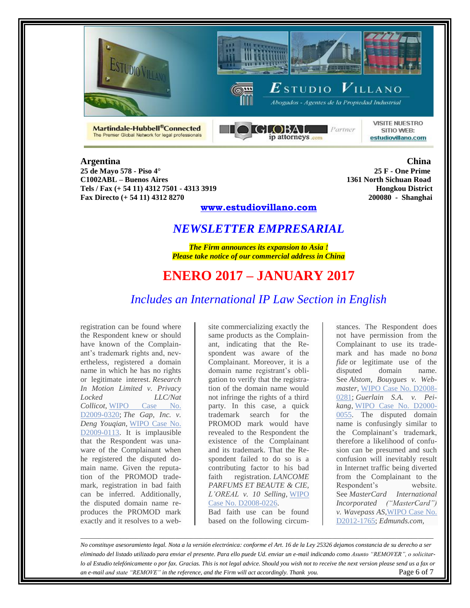





**GLOBAL** Partner ip attorneys com

**VISITE NUESTRO** SITIO WEB: estudiovillano.com

**25 de Mayo 578 - Piso 4° 25 F - One Prime C1002ABL – Buenos Aires Tels / Fax (+ 54 11) 4312 7501 - 4313 3919 Hongkou District Fax Directo (+ 54 11) 4312 8270 200080 - Shanghai**

Martindale-Hubbell®Connected

The Premier Global Network for legal professionals

**Argentina China**

## **www.estudiovillano.com**

# *NEWSLETTER EMPRESARIAL*

*The Firm announces its expansion to Asia ! Please take notice of our commercial address in China*

# **ENERO 2017 – JANUARY 2017**

# *Includes an International IP Law Section in English*

registration can be found where the Respondent knew or should have known of the Complainant's trademark rights and, nevertheless, registered a domain name in which he has no rights or legitimate interest. *Research In Motion Limited v. Privacy Locked LLC/Nat Collicot*, [WIPO](http://www.wipo.int/amc/en/domains/decisions/html/2009/d2009-0320.html) Case No. [D2009-0320;](http://www.wipo.int/amc/en/domains/decisions/html/2009/d2009-0320.html) *The Gap, Inc. v. Deng Youqian*, [WIPO](http://www.wipo.int/amc/en/domains/decisions/html/2009/d2009-0113.html) Case No. [D2009-0113.](http://www.wipo.int/amc/en/domains/decisions/html/2009/d2009-0113.html) It is implausible that the Respondent was unaware of the Complainant when he registered the disputed domain name. Given the reputation of the PROMOD trademark, registration in bad faith can be inferred. Additionally, the disputed domain name reproduces the PROMOD mark exactly and it resolves to a website commercializing exactly the same products as the Complainant, indicating that the Respondent was aware of the Complainant. Moreover, it is a domain name registrant's obligation to verify that the registration of the domain name would not infringe the rights of a third party. In this case, a quick trademark search for the PROMOD mark would have revealed to the Respondent the existence of the Complainant and its trademark. That the Respondent failed to do so is a contributing factor to his bad faith registration. *LANCOME PARFUMS ET BEAUTE & CIE, L'OREAL v. 10 Selling*, [WIPO](http://www.wipo.int/amc/en/domains/decisions/html/2008/d2008-0226.html) Case No. [D2008-0226.](http://www.wipo.int/amc/en/domains/decisions/html/2008/d2008-0226.html)

Bad faith use can be found based on the following circum-

stances. The Respondent does not have permission from the Complainant to use its trademark and has made no *bona fide* or legitimate use of the disputed domain name. See *Alstom, Bouygues v. Webmaster*, WIPO Case No. [D2008-](http://www.wipo.int/amc/en/domains/decisions/html/2008/d2008-0281.html) [0281;](http://www.wipo.int/amc/en/domains/decisions/html/2008/d2008-0281.html) *Guerlain S.A. v. Peikang*, WIPO Case No. [D2000-](http://www.wipo.int/amc/en/domains/decisions/html/2000/d2000-0055.html) [0055.](http://www.wipo.int/amc/en/domains/decisions/html/2000/d2000-0055.html) The disputed domain name is confusingly similar to the Complainant's trademark, therefore a likelihood of confusion can be presumed and such confusion will inevitably result in Internet traffic being diverted from the Complainant to the Respondent's website. See *MasterCard International Incorporated ("MasterCard") v. Wavepass AS*[,WIPO](http://www.wipo.int/amc/en/domains/search/text.jsp?case=D2012-1765) Case No. [D2012-1765;](http://www.wipo.int/amc/en/domains/search/text.jsp?case=D2012-1765) *Edmunds.com,*

*No constituye asesoramiento legal. Nota a la versión electrónica: conforme el Art. 16 de la Ley 25326 dejamos constancia de su derecho a ser eliminado del listado utilizado para enviar el presente. Para ello puede Ud. enviar un e-mail indicando como Asunto "REMOVER", o solicitarlo al Estudio telefónicamente o por fax. Gracias. This is not legal advice. Should you wish not to receive the next version please send us a fax or an e-mail and state "REMOVE" in the reference, and the Firm will act accordingly. Thank you.* Page 6 of 7